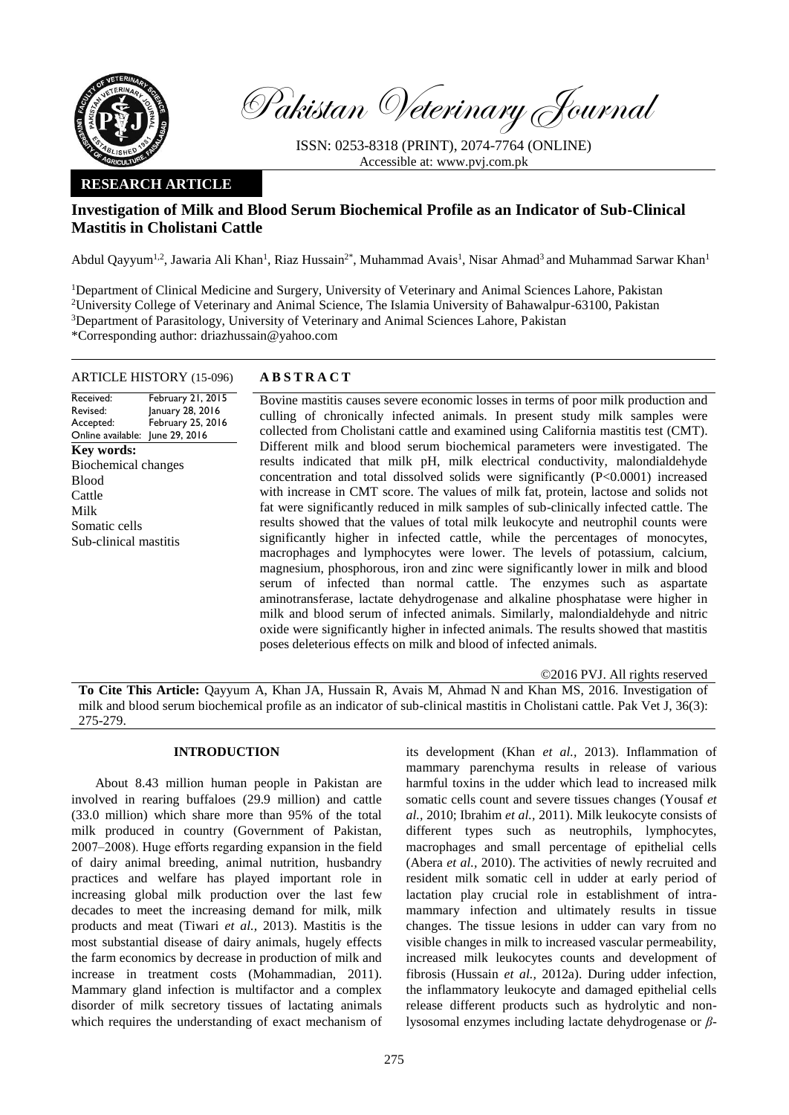

Pakistan Veterinary Journal

ISSN: 0253-8318 (PRINT), 2074-7764 (ONLINE) Accessible at: [www.pvj.com.pk](http://www.pvj.com.pk/)

# **RESEARCH ARTICLE**

# **Investigation of Milk and Blood Serum Biochemical Profile as an Indicator of Sub-Clinical Mastitis in Cholistani Cattle**

Abdul Qayyum<sup>1,2</sup>, Jawaria Ali Khan<sup>1</sup>, Riaz Hussain<sup>2\*</sup>, Muhammad Avais<sup>1</sup>, Nisar Ahmad<sup>3</sup> and Muhammad Sarwar Khan<sup>1</sup>

<sup>1</sup>Department of Clinical Medicine and Surgery, University of Veterinary and Animal Sciences Lahore, Pakistan <sup>2</sup>University College of Veterinary and Animal Science, The Islamia University of Bahawalpur-63100, Pakistan <sup>3</sup>Department of Parasitology, University of Veterinary and Animal Sciences Lahore, Pakistan \*Corresponding author: driazhussain@yahoo.com

# ARTICLE HISTORY (15-096) **A B S T R A C T**

Received: Revised: Accepted: Online available: June 29, 2016 February 21, 2015 January 28, 2016 February 25, 2016 **Key words:**  Biochemical changes Blood Cattle Milk Somatic cells Sub-clinical mastitis

Bovine mastitis causes severe economic losses in terms of poor milk production and culling of chronically infected animals. In present study milk samples were collected from Cholistani cattle and examined using California mastitis test (CMT). Different milk and blood serum biochemical parameters were investigated. The results indicated that milk pH, milk electrical conductivity, malondialdehyde concentration and total dissolved solids were significantly (P<0.0001) increased with increase in CMT score. The values of milk fat, protein, lactose and solids not fat were significantly reduced in milk samples of sub-clinically infected cattle. The results showed that the values of total milk leukocyte and neutrophil counts were significantly higher in infected cattle, while the percentages of monocytes, macrophages and lymphocytes were lower. The levels of potassium, calcium, magnesium, phosphorous, iron and zinc were significantly lower in milk and blood serum of infected than normal cattle. The enzymes such as aspartate aminotransferase, lactate dehydrogenase and alkaline phosphatase were higher in milk and blood serum of infected animals. Similarly, malondialdehyde and nitric oxide were significantly higher in infected animals. The results showed that mastitis poses deleterious effects on milk and blood of infected animals.

©2016 PVJ. All rights reserved

**To Cite This Article:** Qayyum A, Khan JA, Hussain R, Avais M, Ahmad N and Khan MS, 2016. Investigation of milk and blood serum biochemical profile as an indicator of sub-clinical mastitis in Cholistani cattle. Pak Vet J, 36(3): 275-279.

## **INTRODUCTION**

About 8.43 million human people in Pakistan are involved in rearing buffaloes (29.9 million) and cattle (33.0 million) which share more than 95% of the total milk produced in country (Government of Pakistan, 2007‒2008). Huge efforts regarding expansion in the field of dairy animal breeding, animal nutrition, husbandry practices and welfare has played important role in increasing global milk production over the last few decades to meet the increasing demand for milk, milk products and meat (Tiwari *et al.,* 2013). Mastitis is the most substantial disease of dairy animals, hugely effects the farm economics by decrease in production of milk and increase in treatment costs (Mohammadian, 2011). Mammary gland infection is multifactor and a complex disorder of milk secretory tissues of lactating animals which requires the understanding of exact mechanism of its development (Khan *et al.,* 2013). Inflammation of mammary parenchyma results in release of various harmful toxins in the udder which lead to increased milk somatic cells count and severe tissues changes (Yousaf *et al.,* 2010; Ibrahim *et al.,* 2011). Milk leukocyte consists of different types such as neutrophils, lymphocytes, macrophages and small percentage of epithelial cells (Abera *et al.,* 2010). The activities of newly recruited and resident milk somatic cell in udder at early period of lactation play crucial role in establishment of intramammary infection and ultimately results in tissue changes. The tissue lesions in udder can vary from no visible changes in milk to increased vascular permeability, increased milk leukocytes counts and development of fibrosis (Hussain *et al.,* 2012a). During udder infection, the inflammatory leukocyte and damaged epithelial cells release different products such as hydrolytic and nonlysosomal enzymes including lactate dehydrogenase or *β*-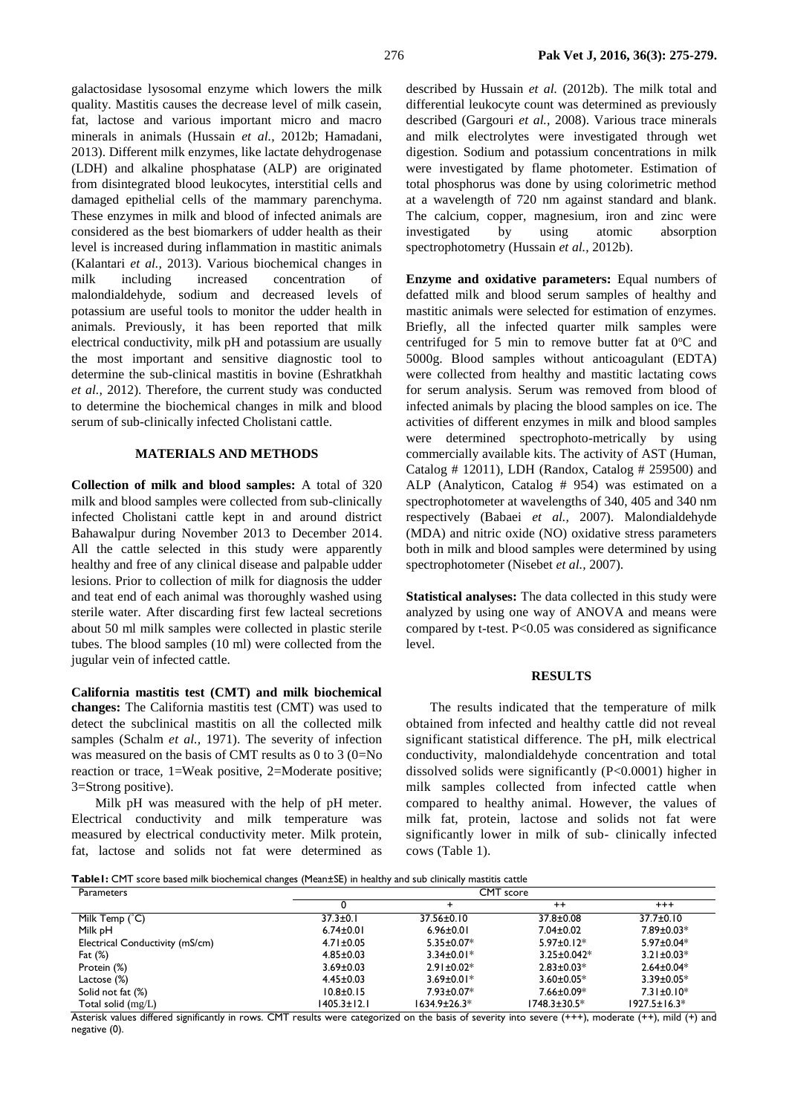galactosidase lysosomal enzyme which lowers the milk quality. Mastitis causes the decrease level of milk casein, fat, lactose and various important micro and macro minerals in animals (Hussain *et al.,* 2012b; Hamadani, 2013). Different milk enzymes, like lactate dehydrogenase (LDH) and alkaline phosphatase (ALP) are originated from disintegrated blood leukocytes, interstitial cells and damaged epithelial cells of the mammary parenchyma. These enzymes in milk and blood of infected animals are considered as the best biomarkers of udder health as their level is increased during inflammation in mastitic animals (Kalantari *et al.,* 2013). Various biochemical changes in milk including increased concentration of malondialdehyde, sodium and decreased levels of potassium are useful tools to monitor the udder health in animals. Previously, it has been reported that milk electrical conductivity, milk pH and potassium are usually the most important and sensitive diagnostic tool to determine the sub-clinical mastitis in bovine (Eshratkhah *et al.,* 2012). Therefore, the current study was conducted to determine the biochemical changes in milk and blood serum of sub-clinically infected Cholistani cattle.

#### **MATERIALS AND METHODS**

**Collection of milk and blood samples:** A total of 320 milk and blood samples were collected from sub-clinically infected Cholistani cattle kept in and around district Bahawalpur during November 2013 to December 2014. All the cattle selected in this study were apparently healthy and free of any clinical disease and palpable udder lesions. Prior to collection of milk for diagnosis the udder and teat end of each animal was thoroughly washed using sterile water. After discarding first few lacteal secretions about 50 ml milk samples were collected in plastic sterile tubes. The blood samples (10 ml) were collected from the jugular vein of infected cattle.

**California mastitis test (CMT) and milk biochemical changes:** The California mastitis test (CMT) was used to detect the subclinical mastitis on all the collected milk samples (Schalm *et al.,* 1971). The severity of infection was measured on the basis of CMT results as 0 to 3 (0=No reaction or trace, 1=Weak positive, 2=Moderate positive; 3=Strong positive).

Milk pH was measured with the help of pH meter. Electrical conductivity and milk temperature was measured by electrical conductivity meter. Milk protein, fat, lactose and solids not fat were determined as

described by Hussain *et al.* (2012b). The milk total and differential leukocyte count was determined as previously described (Gargouri *et al.,* 2008). Various trace minerals and milk electrolytes were investigated through wet digestion. Sodium and potassium concentrations in milk were investigated by flame photometer. Estimation of total phosphorus was done by using colorimetric method at a wavelength of 720 nm against standard and blank. The calcium, copper, magnesium, iron and zinc were investigated by using atomic absorption spectrophotometry (Hussain *et al.,* 2012b).

**Enzyme and oxidative parameters:** Equal numbers of defatted milk and blood serum samples of healthy and mastitic animals were selected for estimation of enzymes. Briefly, all the infected quarter milk samples were centrifuged for 5 min to remove butter fat at  $0^{\circ}$ C and 5000g. Blood samples without anticoagulant (EDTA) were collected from healthy and mastitic lactating cows for serum analysis. Serum was removed from blood of infected animals by placing the blood samples on ice. The activities of different enzymes in milk and blood samples were determined spectrophoto-metrically by using commercially available kits. The activity of AST (Human, Catalog # 12011), LDH (Randox, Catalog # 259500) and ALP (Analyticon, Catalog # 954) was estimated on a spectrophotometer at wavelengths of 340, 405 and 340 nm respectively (Babaei *et al.,* 2007). Malondialdehyde (MDA) and nitric oxide (NO) oxidative stress parameters both in milk and blood samples were determined by using spectrophotometer (Nisebet *et al.,* 2007).

**Statistical analyses:** The data collected in this study were analyzed by using one way of ANOVA and means were compared by t-test. P<0.05 was considered as significance level.

## **RESULTS**

The results indicated that the temperature of milk obtained from infected and healthy cattle did not reveal significant statistical difference. The pH, milk electrical conductivity, malondialdehyde concentration and total dissolved solids were significantly (P<0.0001) higher in milk samples collected from infected cattle when compared to healthy animal. However, the values of milk fat, protein, lactose and solids not fat were significantly lower in milk of sub- clinically infected cows (Table 1).

**Table1:** CMT score based milk biochemical changes (Mean±SE) in healthy and sub clinically mastitis cattle

| Parameters                      | CMT score       |                  |                   |                    |  |
|---------------------------------|-----------------|------------------|-------------------|--------------------|--|
|                                 |                 |                  | $^{++}$           | $^{++}$            |  |
| Milk Temp (°C)                  | $37.3 \pm 0.1$  | 37.56±0.10       | 37.8±0.08         | $37.7 \pm 0.10$    |  |
| Milk pH                         | $6.74 \pm 0.01$ | $6.96 \pm 0.01$  | $7.04 \pm 0.02$   | $7.89 \pm 0.03*$   |  |
| Electrical Conductivity (mS/cm) | $4.71 \pm 0.05$ | $5.35 \pm 0.07*$ | $5.97 \pm 0.12*$  | $5.97 \pm 0.04*$   |  |
| Fat $(\%)$                      | $4.85 \pm 0.03$ | $3.34 \pm 0.01*$ | $3.25 \pm 0.042*$ | $3.21 \pm 0.03*$   |  |
| Protein (%)                     | $3.69 \pm 0.03$ | $2.91 \pm 0.02*$ | $2.83 \pm 0.03*$  | $2.64 \pm 0.04*$   |  |
| Lactose (%)                     | $4.45 \pm 0.03$ | $3.69 \pm 0.01*$ | $3.60 \pm 0.05*$  | $3.39 \pm 0.05*$   |  |
| Solid not fat (%)               | $10.8 \pm 0.15$ | $7.93 \pm 0.07*$ | $7.66 \pm 0.09*$  | $7.31 \pm 0.10*$   |  |
| Total solid $(mg/L)$            | 1405.3±12.1     | 1634.9±26.3*     | 1748.3±30.5*      | $1927.5 \pm 16.3*$ |  |

Asterisk values differed significantly in rows. CMT results were categorized on the basis of severity into severe (+++), moderate (++), mild (+) and negative (0).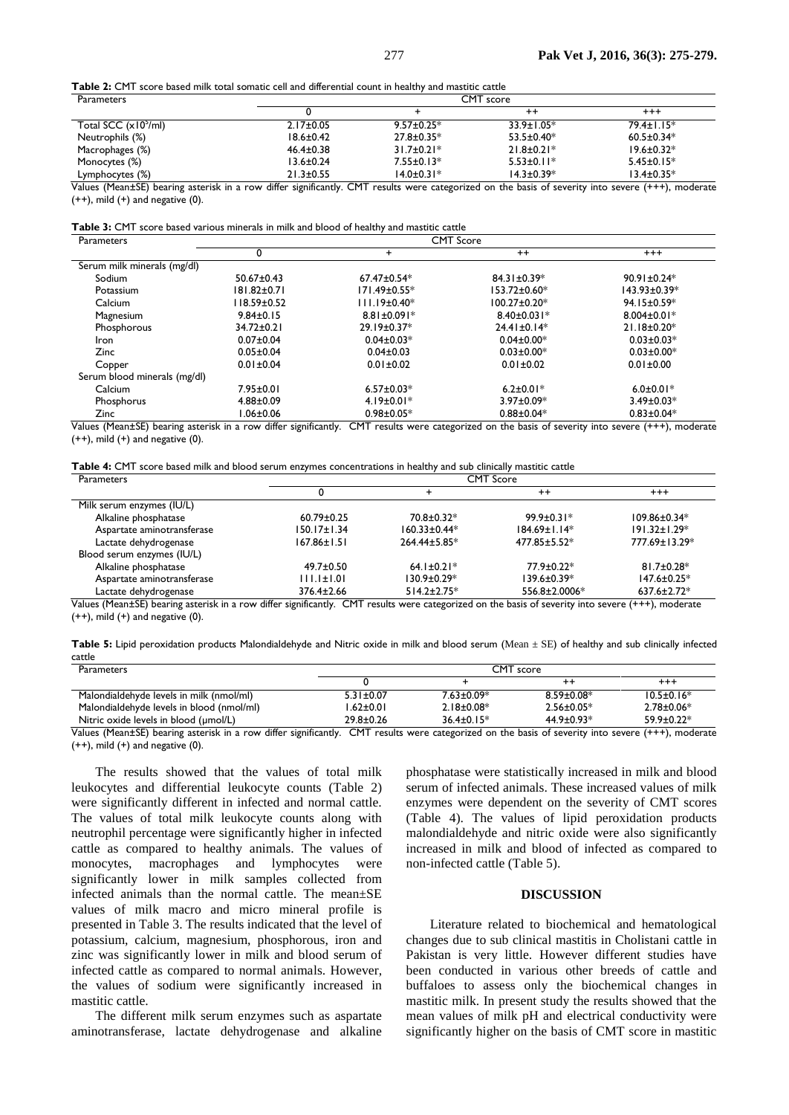**Table 2:** CMT score based milk total somatic cell and differential count in healthy and mastitic cattle

| <b>CMT</b> score |                   |                  |                              |  |
|------------------|-------------------|------------------|------------------------------|--|
|                  |                   | $^{++}$          | $^{++}$                      |  |
| $2.17 \pm 0.05$  | $9.57 \pm 0.25$ * | $33.9 \pm 1.05*$ | $79.4 \pm 1.15^*$            |  |
| $18.6 \pm 0.42$  | $27.8 \pm 0.35*$  | $53.5 \pm 0.40*$ | $60.5 \pm 0.34*$             |  |
| $46.4 \pm 0.38$  | $31.7 \pm 0.21*$  | $21.8 \pm 0.21*$ | $19.6 \pm 0.32*$             |  |
| $13.6 \pm 0.24$  | $7.55 \pm 0.13*$  | $5.53 \pm 0.11*$ | $5.45 \pm 0.15*$             |  |
| $21.3 \pm 0.55$  | $14.0 \pm 0.31*$  | $14.3 \pm 0.39*$ | $13.4 \pm 0.35*$<br>$\cdots$ |  |
|                  | 1.00<br>$\sim$    | $\sim$ $\sim$    |                              |  |

Values (Mean±SE) bearing asterisk in a row differ significantly. CMT results were categorized on the basis of severity into severe (+++), moderate  $(++)$ , mild  $(+)$  and negative  $(0)$ .

**Table 3:** CMT score based various minerals in milk and blood of healthy and mastitic cattle

| Parameters                   |                   |                    | <b>CMT</b> Score   |                   |
|------------------------------|-------------------|--------------------|--------------------|-------------------|
|                              |                   | $\pm$              | $^{++}$            | $^{+++}$          |
| Serum milk minerals (mg/dl)  |                   |                    |                    |                   |
| Sodium                       | $50.67 \pm 0.43$  | $67.47 \pm 0.54*$  | $84.31 \pm 0.39*$  | $90.91 \pm 0.24*$ |
| Potassium                    | $181.82 \pm 0.71$ | $171.49 \pm 0.55*$ | $153.72 \pm 0.60*$ | 143.93±0.39*      |
| Calcium                      | l 18.59±0.52      | $111.19 \pm 0.40*$ | $100.27 \pm 0.20*$ | $94.15 \pm 0.59*$ |
| Magnesium                    | $9.84 \pm 0.15$   | $8.81 \pm 0.091*$  | $8.40 \pm 0.031*$  | $8.004 \pm 0.01*$ |
| Phosphorous                  | 34.72±0.21        | $29.19 \pm 0.37*$  | $24.41 \pm 0.14*$  | $21.18 \pm 0.20*$ |
| Iron                         | $0.07 \pm 0.04$   | $0.04 \pm 0.03*$   | $0.04 \pm 0.00*$   | $0.03 \pm 0.03*$  |
| <b>Zinc</b>                  | $0.05 \pm 0.04$   | $0.04 \pm 0.03$    | $0.03 \pm 0.00*$   | $0.03 \pm 0.00*$  |
| Copper                       | $0.01 \pm 0.04$   | $0.01 \pm 0.02$    | $0.01 \pm 0.02$    | $0.01 \pm 0.00$   |
| Serum blood minerals (mg/dl) |                   |                    |                    |                   |
| Calcium                      | $7.95 \pm 0.01$   | $6.57 \pm 0.03*$   | $6.2 \pm 0.01*$    | $6.0 \pm 0.01*$   |
| Phosphorus                   | $4.88 \pm 0.09$   | $4.19 \pm 0.01*$   | $3.97 \pm 0.09*$   | $3.49 \pm 0.03*$  |
| Zinc                         | $0.06 \pm 0.06$   | $0.98 \pm 0.05*$   | $0.88 \pm 0.04*$   | $0.83 \pm 0.04*$  |

Values (Mean±SE) bearing asterisk in a row differ significantly. CMT results were categorized on the basis of severity into severe (+++), moderate  $(++)$ , mild  $(+)$  and negative  $(0)$ .

| Table 4: CMT score based milk and blood serum enzymes concentrations in healthy and sub clinically mastitic cattle |  |  |  |
|--------------------------------------------------------------------------------------------------------------------|--|--|--|
|--------------------------------------------------------------------------------------------------------------------|--|--|--|

| <b>Parameters</b>          | <b>CMT</b> Score  |                    |                    |                    |  |
|----------------------------|-------------------|--------------------|--------------------|--------------------|--|
|                            |                   |                    | $^{++}$            | $^{+++}$           |  |
| Milk serum enzymes (IU/L)  |                   |                    |                    |                    |  |
| Alkaline phosphatase       | $60.79 \pm 0.25$  | 70.8±0.32*         | $99.9 \pm 0.31*$   | $109.86 \pm 0.34*$ |  |
| Aspartate aminotransferase | $150.17 \pm 1.34$ | 160.33±0.44*       | $184.69 \pm 1.14*$ | $191.32 \pm 1.29*$ |  |
| Lactate dehydrogenase      | $167.86 \pm 1.51$ | $264.44 \pm 5.85*$ | $477.85 \pm 5.52*$ | 777.69±13.29*      |  |
| Blood serum enzymes (IU/L) |                   |                    |                    |                    |  |
| Alkaline phosphatase       | $49.7 \pm 0.50$   | $64.1 \pm 0.21$ *  | $77.9 \pm 0.22$ *  | $81.7 \pm 0.28*$   |  |
| Aspartate aminotransferase | $111.1 \pm 1.01$  | $130.9 \pm 0.29*$  | $139.6 \pm 0.39*$  | $147.6 \pm 0.25$ * |  |
| Lactate dehydrogenase      | $376.4 \pm 2.66$  | $514.2 \pm 2.75*$  | 556.8±2.0006*      | $637.6 \pm 2.72*$  |  |

Values (Mean±SE) bearing asterisk in a row differ significantly. CMT results were categorized on the basis of severity into severe (+++), moderate  $(++)$ , mild  $(+)$  and negative  $(0)$ .

| <b>Table 5:</b> Lipid peroxidation products Malondialdehyde and Nitric oxide in milk and blood serum (Mean $\pm$ SE) of healthy and sub clinically infected |  |  |
|-------------------------------------------------------------------------------------------------------------------------------------------------------------|--|--|
| cattle                                                                                                                                                      |  |  |

| <b>Parameters</b>                         | CMT score       |                   |                  |                  |  |
|-------------------------------------------|-----------------|-------------------|------------------|------------------|--|
|                                           |                 |                   | $^{\mathrm{+}}$  | $^{++}$          |  |
| Malondialdehyde levels in milk (nmol/ml)  | $5.31 \pm 0.07$ | $7.63 \pm 0.09*$  | $8.59 \pm 0.08*$ | $10.5 \pm 0.16*$ |  |
| Malondialdehyde levels in blood (nmol/ml) | $1.62 \pm 0.01$ | $2.18 \pm 0.08^*$ | $2.56 \pm 0.05*$ | $2.78 \pm 0.06*$ |  |
| Nitric oxide levels in blood (umol/L)     | $29.8 \pm 0.26$ | $36.4 \pm 0.15*$  | $44.9 \pm 0.93*$ | $59.9 \pm 0.22*$ |  |

Values (Mean±SE) bearing asterisk in a row differ significantly. CMT results were categorized on the basis of severity into severe (+++), moderate  $(++)$ , mild  $(+)$  and negative  $(0)$ .

The results showed that the values of total milk leukocytes and differential leukocyte counts (Table 2) were significantly different in infected and normal cattle. The values of total milk leukocyte counts along with neutrophil percentage were significantly higher in infected cattle as compared to healthy animals. The values of monocytes, macrophages and lymphocytes were significantly lower in milk samples collected from infected animals than the normal cattle. The mean±SE values of milk macro and micro mineral profile is presented in Table 3. The results indicated that the level of potassium, calcium, magnesium, phosphorous, iron and zinc was significantly lower in milk and blood serum of infected cattle as compared to normal animals. However, the values of sodium were significantly increased in mastitic cattle.

The different milk serum enzymes such as aspartate aminotransferase, lactate dehydrogenase and alkaline

phosphatase were statistically increased in milk and blood serum of infected animals. These increased values of milk enzymes were dependent on the severity of CMT scores (Table 4). The values of lipid peroxidation products malondialdehyde and nitric oxide were also significantly increased in milk and blood of infected as compared to non-infected cattle (Table 5).

## **DISCUSSION**

Literature related to biochemical and hematological changes due to sub clinical mastitis in Cholistani cattle in Pakistan is very little. However different studies have been conducted in various other breeds of cattle and buffaloes to assess only the biochemical changes in mastitic milk. In present study the results showed that the mean values of milk pH and electrical conductivity were significantly higher on the basis of CMT score in mastitic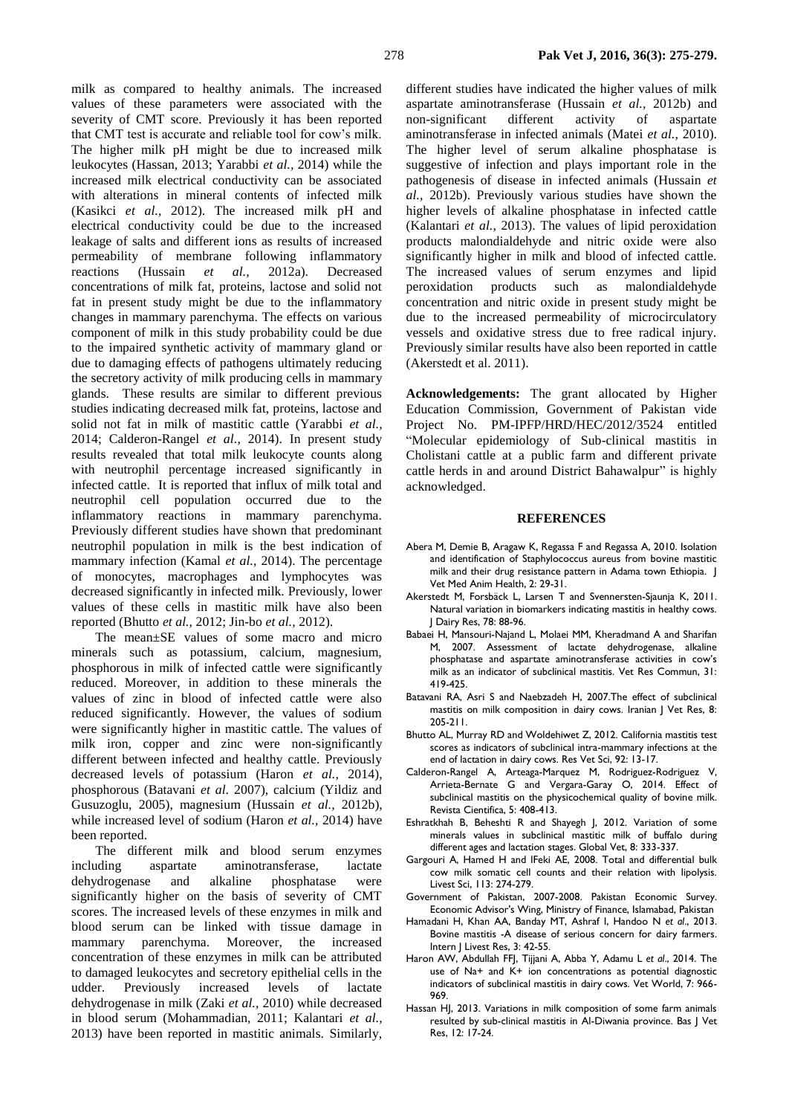milk as compared to healthy animals. The increased values of these parameters were associated with the severity of CMT score. Previously it has been reported that CMT test is accurate and reliable tool for cow's milk. The higher milk pH might be due to increased milk leukocytes (Hassan, 2013; Yarabbi *et al.,* 2014) while the increased milk electrical conductivity can be associated with alterations in mineral contents of infected milk (Kasikci *et al.,* 2012). The increased milk pH and electrical conductivity could be due to the increased leakage of salts and different ions as results of increased permeability of membrane following inflammatory reactions (Hussain *et al.,* 2012a). Decreased concentrations of milk fat, proteins, lactose and solid not fat in present study might be due to the inflammatory changes in mammary parenchyma. The effects on various component of milk in this study probability could be due to the impaired synthetic activity of mammary gland or due to damaging effects of pathogens ultimately reducing the secretory activity of milk producing cells in mammary glands. These results are similar to different previous studies indicating decreased milk fat, proteins, lactose and solid not fat in milk of mastitic cattle (Yarabbi *et al.,* 2014; Calderon-Rangel *et al.,* 2014). In present study results revealed that total milk leukocyte counts along with neutrophil percentage increased significantly in infected cattle. It is reported that influx of milk total and neutrophil cell population occurred due to the inflammatory reactions in mammary parenchyma. Previously different studies have shown that predominant neutrophil population in milk is the best indication of mammary infection (Kamal *et al.,* 2014). The percentage of monocytes, macrophages and lymphocytes was decreased significantly in infected milk. Previously, lower values of these cells in mastitic milk have also been

The mean±SE values of some macro and micro minerals such as potassium, calcium, magnesium, phosphorous in milk of infected cattle were significantly reduced. Moreover, in addition to these minerals the values of zinc in blood of infected cattle were also reduced significantly. However, the values of sodium were significantly higher in mastitic cattle. The values of milk iron, copper and zinc were non-significantly different between infected and healthy cattle. Previously decreased levels of potassium (Haron *et al.,* 2014), phosphorous (Batavani *et al*. 2007), calcium (Yildiz and Gusuzoglu, 2005), magnesium (Hussain *et al.,* 2012b), while increased level of sodium (Haron *et al.,* 2014) have been reported.

reported (Bhutto *et al.,* 2012; Jin-bo *et al.,* 2012).

The different milk and blood serum enzymes including aspartate aminotransferase, lactate dehydrogenase and alkaline phosphatase were significantly higher on the basis of severity of CMT scores. The increased levels of these enzymes in milk and blood serum can be linked with tissue damage in mammary parenchyma. Moreover, the increased concentration of these enzymes in milk can be attributed to damaged leukocytes and secretory epithelial cells in the udder. Previously increased levels of lactate dehydrogenase in milk (Zaki *et al.,* 2010) while decreased in blood serum (Mohammadian, 2011; Kalantari *et al.,* 2013) have been reported in mastitic animals. Similarly,

different studies have indicated the higher values of milk aspartate aminotransferase (Hussain *et al.,* 2012b) and non-significant different activity of aspartate aminotransferase in infected animals (Matei *et al.,* 2010). The higher level of serum alkaline phosphatase is suggestive of infection and plays important role in the pathogenesis of disease in infected animals (Hussain *et al.,* 2012b). Previously various studies have shown the higher levels of alkaline phosphatase in infected cattle (Kalantari *et al.,* 2013). The values of lipid peroxidation products malondialdehyde and nitric oxide were also significantly higher in milk and blood of infected cattle. The increased values of serum enzymes and lipid peroxidation products such as malondialdehyde concentration and nitric oxide in present study might be due to the increased permeability of microcirculatory vessels and oxidative stress due to free radical injury. Previously similar results have also been reported in cattle (Akerstedt et al. 2011).

**Acknowledgements:** The grant allocated by Higher Education Commission, Government of Pakistan vide Project No. PM-IPFP/HRD/HEC/2012/3524 entitled "Molecular epidemiology of Sub-clinical mastitis in Cholistani cattle at a public farm and different private cattle herds in and around District Bahawalpur" is highly acknowledged.

## **REFERENCES**

- Abera M, Demie B, Aragaw K, Regassa F and Regassa A, 2010. Isolation and identification of Staphylococcus aureus from bovine mastitic milk and their drug resistance pattern in Adama town Ethiopia. J Vet Med Anim Health, 2: 29-31.
- Akerstedt M, Forsbäck L, Larsen T and Svennersten-Sjaunja K, 2011. Natural variation in biomarkers indicating mastitis in healthy cows. J Dairy Res, 78: 88-96.
- Babaei H, Mansouri-Najand L, Molaei MM, Kheradmand A and Sharifan M, 2007. Assessment of lactate dehydrogenase, alkaline phosphatase and aspartate aminotransferase activities in cow's milk as an indicator of subclinical mastitis. Vet Res Commun, 31: 419-425.
- Batavani RA, Asri S and Naebzadeh H, 2007.The effect of subclinical mastitis on milk composition in dairy cows. Iranian J Vet Res, 8: 205-211.
- Bhutto AL, Murray RD and Woldehiwet Z, 2012. California mastitis test scores as indicators of subclinical intra-mammary infections at the end of lactation in dairy cows. Res Vet Sci, 92: 13-17.
- Calderon-Rangel A, Arteaga-Marquez M, Rodriguez-Rodriguez V, Arrieta-Bernate G and Vergara-Garay O, 2014. Effect of subclinical mastitis on the physicochemical quality of bovine milk. Revista Cientifica, 5: 408-413.
- Eshratkhah B, Beheshti R and Shayegh J, 2012. Variation of some minerals values in subclinical mastitic milk of buffalo during different ages and lactation stages. Global Vet, 8: 333-337.
- Gargouri A, Hamed H and lFeki AE, 2008. Total and differential bulk cow milk somatic cell counts and their relation with lipolysis. Livest Sci, 113: 274-279.
- Government of Pakistan, 2007-2008. Pakistan Economic Survey. Economic Advisor's Wing, Ministry of Finance, Islamabad, Pakistan
- Hamadani H, Khan AA, Banday MT, Ashraf I, Handoo N *et al*., 2013. Bovine mastitis -A disease of serious concern for dairy farmers. Intern J Livest Res, 3: 42-55.
- Haron AW, Abdullah FFJ, Tijjani A, Abba Y, Adamu L *et al*., 2014. The use of Na+ and K+ ion concentrations as potential diagnostic indicators of subclinical mastitis in dairy cows. Vet World, 7: 966- 969.
- Hassan HJ, 2013. Variations in milk composition of some farm animals resulted by sub-clinical mastitis in Al-Diwania province. Bas J Vet Res, 12: 17-24.